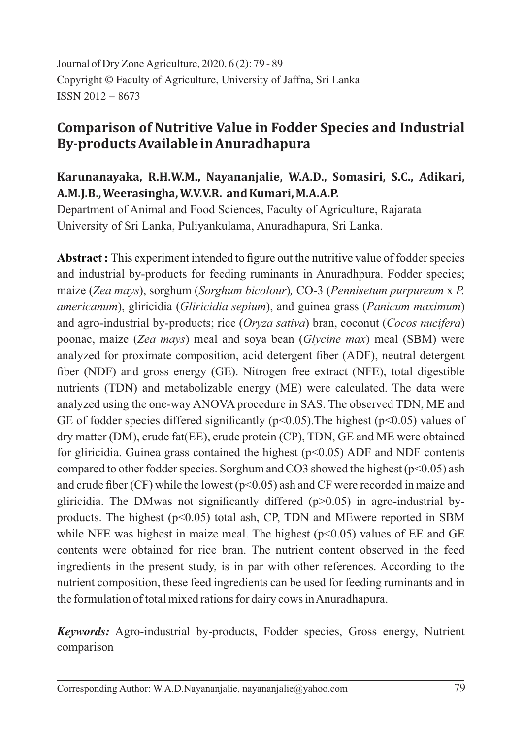Journal of Dry Zone Agriculture, 2020, 6 (2): 79 - 89 Copyright © Faculty of Agriculture, University of Jaffna, Sri Lanka ISSN 2012 − 8673

# **Comparison of Nutritive Value in Fodder Species and Industrial By-products Available in Anuradhapura**

## **Karunanayaka, R.H.W.M., Nayananjalie, W.A.D., Somasiri, S.C., Adikari, A.M.J.B., Weerasingha, W.V.V.R. and Kumari, M.A.A.P.**

Department of Animal and Food Sciences, Faculty of Agriculture, Rajarata University of Sri Lanka, Puliyankulama, Anuradhapura, Sri Lanka.

**Abstract :** This experiment intended to figure out the nutritive value of fodder species and industrial by-products for feeding ruminants in Anuradhpura. Fodder species; maize ( Zea mays), sorghum ( Sorghum bicolour), CO-3 ( *Pennisetum purpureum x P. americanum*), gliricidia (*Gliricidia sepium*), and guinea grass (*Panicum maximum*) and agro-industrial by-products; rice (*Oryza sativa*) bran, coconut (*Cocos nucifera*) poonac, maize (*Zea mays*) meal and soya bean (*Glycine max*) meal (SBM) were analyzed for proximate composition, acid detergent fiber (ADF), neutral detergent fiber (NDF) and gross energy (GE). Nitrogen free extract (NFE), total digestible nutrients (TDN) and metabolizable energy (ME) were calculated. The data were analyzed using the one-way ANOVA procedure in SAS. The observed TDN, ME and GE of fodder species differed significantly ( $p<0.05$ ). The highest ( $p<0.05$ ) values of dry matter (DM), crude fat(EE), crude protein (CP), TDN, GE and ME were obtained for gliricidia. Guinea grass contained the highest  $(p<0.05)$  ADF and NDF contents compared to other fodder species. Sorghum and CO3 showed the highest ( $p<0.05$ ) ash and crude fiber (CF) while the lowest ( $p$ <0.05) ash and CF were recorded in maize and gliricidia. The DM was not significantly differed  $(p>0.05)$  in agro-industrial byproducts. The highest ( $p<0.05$ ) total ash, CP, TDN and MEwere reported in SBM while NFE was highest in maize meal. The highest  $(p<0.05)$  values of EE and GE contents were obtained for rice bran. The nutrient content observed in the feed ingredients in the present study, is in par with other references. According to the nutrient composition, these feed ingredients can be used for feeding ruminants and in the formulation of total mixed rations for dairy cows inAnuradhapura.

*Keywords:* Agro-industrial by-products, Fodder species, Gross energy, Nutrient comparison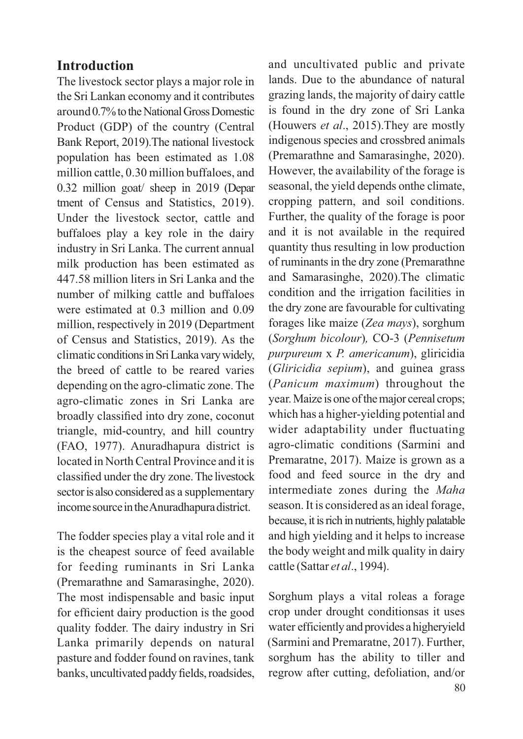## **Introduction**

The livestock sector plays a major role in the Sri Lankan economy and it contributes around 0.7% to the National Gross Domestic Product (GDP) of the country (Central Bank Report, 2019).The national livestock population has been estimated as 1.08 million cattle, 0.30 million buffaloes, and 0.32 million goat/ sheep in 2019 (Depar tment of Census and Statistics, 2019). Under the livestock sector, cattle and buffaloes play a key role in the dairy industry in Sri Lanka. The current annual milk production has been estimated as 447.58 million liters in Sri Lanka and the number of milking cattle and buffaloes were estimated at 0.3 million and 0.09 million, respectively in 2019 (Department of Census and Statistics, 2019). As the climatic conditions in Sri Lanka vary widely, the breed of cattle to be reared varies depending on the agro-climatic zone. The agro-climatic zones in Sri Lanka are broadly classified into dry zone, coconut triangle, mid-country, and hill country (FAO, 1977). Anuradhapura district is located in North Central Province and it is classified under the dry zone.The livestock sector is also considered as a supplementary income source in the Anuradhapura district.

The fodder species play a vital role and it is the cheapest source of feed available for feeding ruminants in Sri Lanka (Premarathne and Samarasinghe,  $2020$ ). The most indispensable and basic input for efficient dairy production is the good quality fodder. The dairy industry in Sri Lanka primarily depends on natural pasture and fodder found on ravines, tank banks, uncultivated paddy fields, roadsides,

and uncultivated public and private lands. Due to the abundance of natural grazing lands, the majority of dairy cattle is found in the dry zone of Sri Lanka (Houwers *et al.*, 2015). They are mostly indigenous species and crossbred animals (Premarathne and Samarasinghe, 2020). However, the availability of the forage is seasonal, the yield depends onthe climate, cropping pattern, and soil conditions. Further, the quality of the forage is poor and it is not available in the required quantity thus resulting in low production of ruminants in the dry zone (Premarathne and Samarasinghe, 2020).The climatic condition and the irrigation facilities in the dry zone are favourable for cultivating forages like maize (Zea mays), sorghum (Sorghum bicolour), CO-3 (Pennisetum *purpureum x P. americanum*), gliricidia (Gliricidia sepium), and guinea grass (*Panicum maximum*) throughout the year. Maize is one of the major cereal crops; which has a higher-yielding potential and wider adaptability under fluctuating agro-climatic conditions (Sarmini and Premaratne, 2017). Maize is grown as a food and feed source in the dry and intermediate zones during the *Maha* season. It is considered as an ideal forage, because, it is rich in nutrients, highly palatable and high yielding and it helps to increase the body weight and milk quality in dairy cattle (Sattar *et al.*, 1994).

Sorghum plays a vital roleas a forage crop under drought conditionsas it uses water efficiently and provides a higheryield (Sarmini and Premaratne, 2017). Further, sorghum has the ability to tiller and regrow after cutting, defoliation, and/or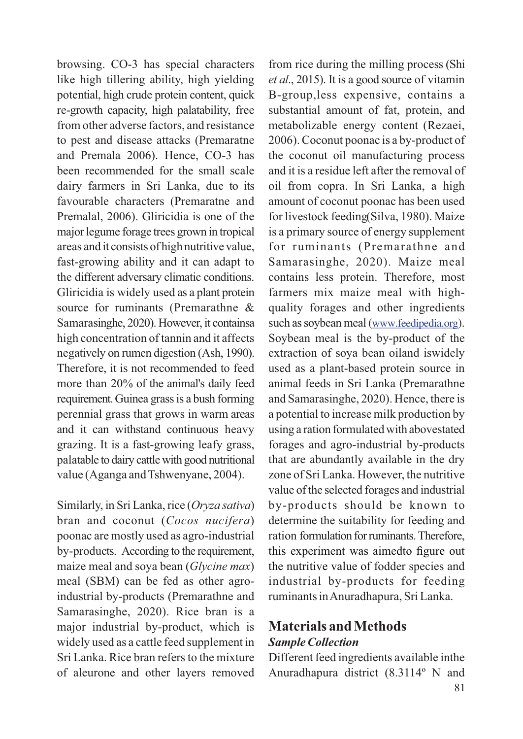browsing. CO-3 has special characters like high tillering ability, high yielding potential, high crude protein content, quick re-growth capacity, high palatability, free from other adverse factors, and resistance to pest and disease attacks (Premaratne and Premala 2006). Hence, CO-3 has been recommended for the small scale dairy farmers in Sri Lanka, due to its favourable characters (Premaratne and Premalal, 2006). Gliricidia is one of the major legume forage trees grown in tropical areas and it consists of high nutritive value, fast-growing ability and it can adapt to the different adversary climatic conditions. Gliricidia is widely used as a plant protein source for ruminants (Premarathne & Samarasinghe, 2020). However, it containsa high concentration of tannin and it affects negatively on rumen digestion (Ash, 1990). Therefore, it is not recommended to feed more than 20% of the animal's daily feed requirement. Guinea grass is a bush forming perennial grass that grows in warm areas and it can withstand continuous heavy grazing. It is a fast-growing leafy grass, palatable to dairy cattle with good nutritional value (Aganga and Tshwenyane, 2004).

Similarly, in Sri Lanka, rice (Oryza sativa) bran and coconut (Cocos nucifera) poonac are mostly used as agro-industrial by-products. According to the requirement, maize meal and soya bean (*Glycine max*) meal (SBM) can be fed as other agroindustrial by-products (Premarathne and Samarasinghe, 2020). Rice bran is a major industrial by-product, which is widely used as a cattle feed supplement in Sri Lanka. Rice bran refers to the mixture of aleurone and other layers removed from rice during the milling process (Shi *et al*., 2015). It is a good source of vitamin B-group,less expensive, contains a substantial amount of fat, protein, and metabolizable energy content (Rezaei, 2006). Coconut poonac is a by-product of the coconut oil manufacturing process and it is a residue left after the removal of oil from copra. In Sri Lanka, a high amount of coconut poonac has been used for livestock feeding Silva, 1980). Maize is a primary source of energy supplement for ruminants (Premarathne and Samarasinghe, 2020). Maize meal contains less protein. Therefore, most farmers mix maize meal with highquality forages and other ingredients such as soybean meal (www.feedipedia.org). Soybean meal is the by-product of the extraction of soya bean oiland iswidely used as a plant-based protein source in animal feeds in Sri Lanka (Premarathne and Samarasinghe, 2020). Hence, there is a potential to increase milk production by using a ration formulated with abovestated forages and agro-industrial by-products that are abundantly available in the dry zone of Sri Lanka. However, the nutritive value of the selected forages and industrial by-products should be known to determine the suitability for feeding and ration formulation for ruminants. Therefore, this experiment was aimedto figure out the nutritive value of fodder species and industrial by-products for feeding ruminants inAnuradhapura, Sri Lanka.

## **Materials and Methods** *Sample Collection*

Different feed ingredients available inthe Anuradhapura district (8.3114º N and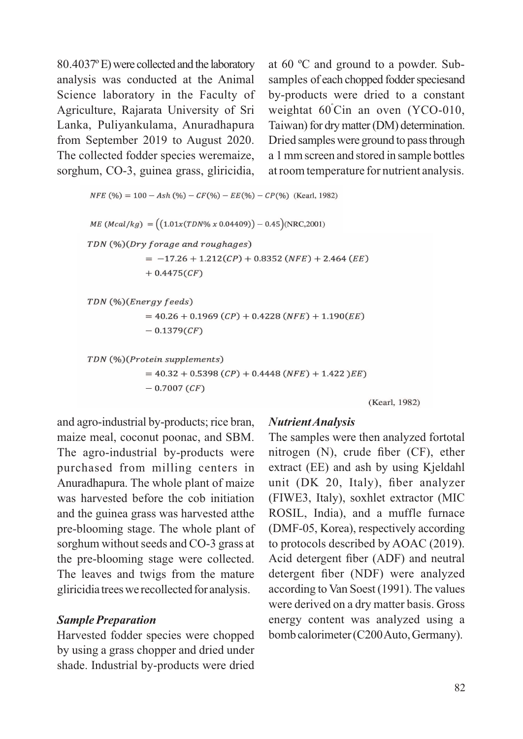80.4037º E) were collected and the laboratory analysis was conducted at the Animal Science laboratory in the Faculty of Agriculture, Rajarata University of Sri Lanka, Puliyankulama, Anuradhapura from September 2019 to August 2020. The collected fodder species weremaize, sorghum, CO-3, guinea grass, gliricidia, at 60 ºC and ground to a powder. Subsamples of each chopped fodder speciesand by-products were dried to a constant weightat  $60^{\circ}$ Cin an oven (YCO-010, Taiwan) for dry matter (DM) determination. Dried samples were ground to pass through a 1 mm screen and stored in sample bottles at room temperature for nutrient analysis.

 $NFE$  (%) = 100 – Ash (%) –  $CF$ (%) –  $EE$ (%) –  $CP$ (%) (Kearl, 1982)

```
ME (Mcal/kg) = ((1.01x(TDN\% x 0.04409)) - 0.45)(NRC,2001)TDN (%)(Dry forage and roughages)
= -17.26 + 1.212(CP) + 0.8352(NFE) + 2.464(EE)+ 0.4475(CF)
```

```
TDN (%)(Energy feeds)
= 40.26 + 0.1969 (CP) + 0.4228 (NFE) + 1.190 (EE)-0.1379(CF)
```

```
TDN (%)(Protein supplements)
= 40.32 + 0.5398 (CP) + 0.4448 (NFE) + 1.422) EE-0.7007 (CF)
```
(Kearl, 1982)

and agro-industrial by-products; rice bran, maize meal, coconut poonac, and SBM. The agro-industrial by-products were purchased from milling centers in Anuradhapura. The whole plant of maize was harvested before the cob initiation and the guinea grass was harvested atthe pre-blooming stage. The whole plant of sorghum without seeds and CO-3 grass at the pre-blooming stage were collected. The leaves and twigs from the mature gliricidiatrees werecollected for analysis.

#### *Sample Preparation*

Harvested fodder species were chopped by using a grass chopper and dried under shade. Industrial by-products were dried

## *NutrientAnalysis*

The samples were then analyzed fortotal nitrogen (N), crude fiber (CF), ether extract (EE) and ash by using Kjeldahl unit (DK 20, Italy), fiber analyzer (FIWE3, Italy), soxhlet extractor (MIC ROSIL, India), and a muffle furnace (DMF-05, Korea), respectively according to protocols described by AOAC (2019). Acid detergent fiber (ADF) and neutral detergent fiber (NDF) were analyzed according to Van Soest (1991). The values were derived on a dry matter basis. Gross energy content was analyzed using a bomb calorimeter (C200Auto, Germany).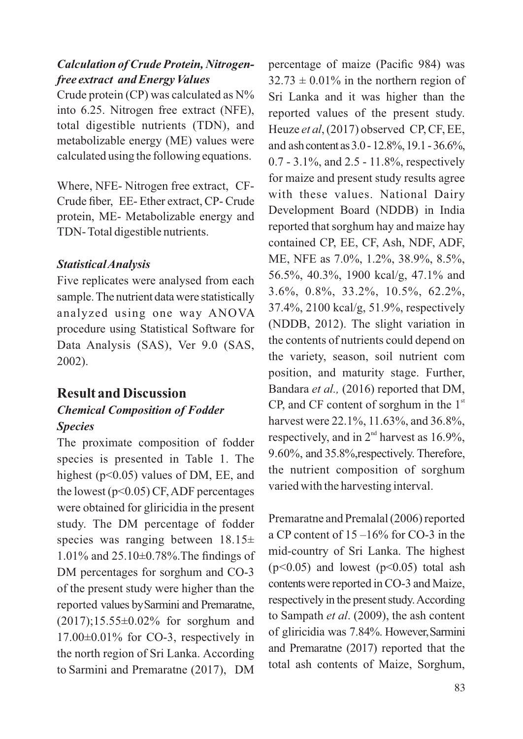#### *Calculation of Crude Protein, Nitrogenfree extract and Energy Values*

Crude protein (CP) was calculated as N% into 6.25. Nitrogen free extract (NFE), total digestible nutrients (TDN), and metabolizable energy (ME) values were calculated using the following equations.

Where, NFE- Nitrogen free extract, CF-Crude fiber, EE- Ether extract, CP- Crude protein, ME- Metabolizable energy and TDN- Total digestible nutrients.

#### *StatisticalAnalysis*

Five replicates were analysed from each sample.The nutrient data were statistically analyzed using one way ANOVA procedure using Statistical Software for Data Analysis (SAS), Ver 9.0 (SAS, 2002).

## **Result and Discussion**

### *Chemical Composition of Fodder Species*

The proximate composition of fodder species is presented in Table 1. The highest (p<0.05) values of DM, EE, and the lowest ( $p<0.05$ ) CF, ADF percentages were obtained for gliricidia in the present study. The DM percentage of fodder species was ranging between  $18.15\pm$ 1.01% and 25.10±0.78%.The findings of DM percentages for sorghum and CO-3 of the present study were higher than the reported values bySarmini and Premaratne, (2017);15.55±0.02% for sorghum and  $17.00\pm0.01\%$  for CO-3, respectively in the north region of Sri Lanka. According to Sarmini and Premaratne  $(2017)$ , DM percentage of maize (Pacific 984) was  $32.73 \pm 0.01\%$  in the northern region of Sri Lanka and it was higher than the reported values of the present study. Heuze et al, (2017) observed CP, CF, EE, and ashcontentas3.0-12.8%,19.1-36.6%, 0.7 - 3.1%, and 2.5 - 11.8%, respectively for maize and present study results agree with these values. National Dairy Development Board (NDDB) in India reported that sorghum hay and maize hay contained CP, EE, CF, Ash, NDF, ADF, ME, NFE as 7.0%, 1.2%, 38.9%, 8.5%, 56.5%, 40.3%, 1900 kcal/g, 47.1% and 3.6%, 0.8%, 33.2%, 10.5%, 62.2%, 37.4%, 2100 kcal/g, 51.9%, respectively (NDDB, 2012). The slight variation in the contents of nutrients could depend on the variety, season, soil nutrient com position, and maturity stage. Further, Bandara *et al.*, (2016) reported that DM, CP, and CF content of sorghum in the  $1<sup>st</sup>$ harvest were 22.1%, 11.63%, and 36.8%, respectively, and in  $2<sup>nd</sup>$  harvest as 16.9%, 9.60%, and 35.8%,respectively. Therefore, the nutrient composition of sorghum varied with the harvesting interval.

Premaratne and Premalal (2006) reported a CP content of 15 –16% for CO-3 in the mid-country of Sri Lanka. The highest  $(p<0.05)$  and lowest  $(p<0.05)$  total ash contentswere reported in CO-3 and Maize, respectively in the present study.According to Sampath *et al.* (2009), the ash content of gliricidia was 7.84%. However,Sarmini and Premaratne (2017) reported that the total ash contents of Maize, Sorghum,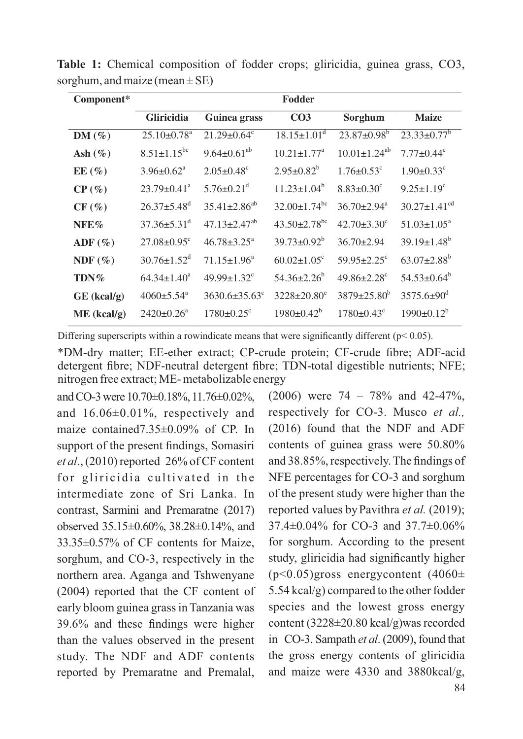| Component*        | Fodder                        |                                |                                |                               |                                |  |  |
|-------------------|-------------------------------|--------------------------------|--------------------------------|-------------------------------|--------------------------------|--|--|
|                   | Gliricidia                    | Guinea grass                   | CO <sub>3</sub>                | Sorghum                       | <b>Maize</b>                   |  |  |
| $DM(\%)$          | $25.10 \pm 0.78$ <sup>a</sup> | $21.29 \pm 0.64$ <sup>c</sup>  | $18.15 \pm 1.01$ <sup>d</sup>  | $23.87 \pm 0.98$ <sup>b</sup> | $23.33 \pm 0.77^b$             |  |  |
| Ash $(\%)$        | $8.51 \pm 1.15^{bc}$          | $9.64 \pm 0.61^{ab}$           | $10.21 + 1.77$ <sup>a</sup>    | $10.01 \pm 1.24^{ab}$         | $7.77+0.44^c$                  |  |  |
| EE(%)             | $3.96 \pm 0.62^a$             | $2.05 \pm 0.48$ <sup>c</sup>   | $2.95 \pm 0.82^b$              | $1.76 \pm 0.53$ <sup>c</sup>  | $1.90 \pm 0.33$ <sup>c</sup>   |  |  |
| $CP($ %)          | $23.79 \pm 0.41$ <sup>a</sup> | $5.76 + 0.21$ <sup>d</sup>     | $11.23 \pm 1.04^b$             | $8.83 \pm 0.30$ <sup>c</sup>  | $9.25 \pm 1.19$ <sup>c</sup>   |  |  |
| $CF(\%)$          | $26.37 + 5.48$ <sup>d</sup>   | $35.41 \pm 2.86^{ab}$          | $32.00 \pm 1.74$ <sup>bc</sup> | $36.70 + 2.94^{\circ}$        | $30.27 \pm 1.41$ <sup>cd</sup> |  |  |
| NFE%              | $37.36 \pm 5.31$ <sup>d</sup> | $47.13 \pm 2.47$ <sup>ab</sup> | $43.50 \pm 2.78$ <sup>bc</sup> | $42.70 + 3.30^{\circ}$        | $51.03 \pm 1.05^{\circ}$       |  |  |
| $\text{ADF}(\% )$ | $27.08 \pm 0.95$ <sup>c</sup> | $46.78 \pm 3.25^{\circ}$       | $39.73 \pm 0.92^b$             | $36.70 \pm 2.94$              | $39.19 \pm 1.48$ <sup>b</sup>  |  |  |
| NDF $(\% )$       | $30.76 \pm 1.52$ <sup>d</sup> | $71.15 \pm 1.96^a$             | $60.02 \pm 1.05$ <sup>c</sup>  | $59.95 + 2.25$ <sup>c</sup>   | $63.07 \pm 2.88^b$             |  |  |
| TDN%              | $64.34 \pm 1.40^a$            | $49.99 \pm 1.32$ <sup>c</sup>  | $54.36 \pm 2.26^b$             | $49.86 \pm 2.28$ <sup>c</sup> | $54.53 \pm 0.64^b$             |  |  |
| GE (kcal/g)       | $4060 \pm 5.54$ <sup>a</sup>  | $3630.6 \pm 35.63^{\circ}$     | $3228 \pm 20.80^e$             | $3879 + 25.80^b$              | $3575.6 \pm 90^{\circ}$        |  |  |
| $ME$ (kcal/g)     | $2420+0.26^a$                 | $1780+0.25^{\circ}$            | $1980 \pm 0.42^b$              | $1780 \pm 0.43$ <sup>c</sup>  | $1990 \pm 0.12^b$              |  |  |

**Table 1:** Chemical composition of fodder crops; gliricidia, guinea grass, CO3, sorghum, and maize (mean  $\pm$  SE)

Differing superscripts within a rowindicate means that were significantly different ( $p < 0.05$ ).

\*DM-dry matter; EE-ether extract; CP-crude protein; CF-crude fibre; ADF-acid detergent fibre; NDF-neutral detergent fibre; TDN-total digestible nutrients; NFE; nitrogen free extract; ME- metabolizable energy

and CO-3 were 10.70±0.18%, 11.76±0.02%, and 16.06±0.01%, respectively and maize contained7.35±0.09% of CP. In support of the present findings, Somasiri *et al*., (2010) reported 26% of CF content for gliricidia cultivated in the intermediate zone of Sri Lanka. In contrast, Sarmini and Premaratne (2017) observed 35.15±0.60%, 38.28±0.14%, and 33.35±0.57% of CF contents for Maize, sorghum, and CO-3, respectively in the northern area. Aganga and Tshwenyane (2004) reported that the CF content of early bloom guinea grass in Tanzania was 39.6% and these findings were higher than the values observed in the present study. The NDF and ADF contents reported by Premaratne and Premalal,

 $(2006)$  were 74 – 78% and 42-47%, respectively for CO-3. Musco *et al.,* (2016) found that the NDF and ADF contents of guinea grass were 50.80% and 38.85%, respectively. The findings of NFE percentages for CO-3 and sorghum of the present study were higher than the reported values by Pavithra *et al.* (2019); 37.4±0.04% for CO-3 and 37.7±0.06% for sorghum. According to the present study, gliricidia had significantly higher  $(p<0.05)$ gross energycontent (4060± 5.54 kcal/g) compared to the other fodder species and the lowest gross energy content (3228±20.80 kcal/g)was recorded in CO-3. Sampath *et al.* (2009), found that the gross energy contents of gliricidia and maize were 4330 and 3880kcal/g,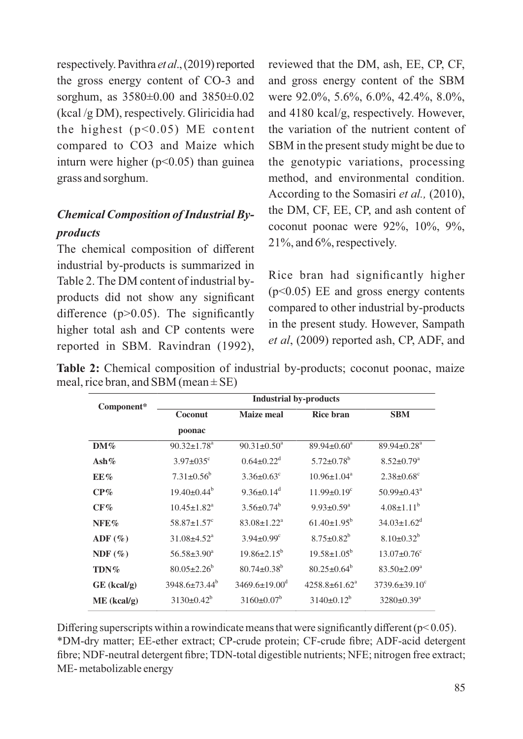respectively. Pavithra et al., (2019) reported the gross energy content of CO-3 and sorghum, as 3580±0.00 and 3850±0.02 (kcal /g DM), respectively. Gliricidia had the highest  $(p<0.05)$  ME content compared to CO3 and Maize which inturn were higher  $(p<0.05)$  than guinea grass and sorghum.

# *Chemical Composition of Industrial Byproducts*

The chemical composition of different industrial by-products is summarized in Table 2. The DM content of industrial byproducts did not show any significant difference  $(p>0.05)$ . The significantly higher total ash and CP contents were reported in SBM. Ravindran (1992), reviewed that the DM, ash, EE, CP, CF, and gross energy content of the SBM were 92.0%, 5.6%, 6.0%, 42.4%, 8.0%, and 4180 kcal/g, respectively. However, the variation of the nutrient content of SBM in the present study might be due to the genotypic variations, processing method, and environmental condition. According to the Somasiri *et al.*, (2010), the DM, CF, EE, CP, and ash content of coconut poonac were 92%, 10%, 9%, 21%, and 6%, respectively.

Rice bran had significantly higher (p<0.05) EE and gross energy contents compared to other industrial by-products in the present study. However, Sampath *et al*, (2009) reported ash, CP, ADF, and

**Table 2:** Chemical composition of industrial by-products; coconut poonac, maize meal, rice bran, and SBM (mean  $\pm$  SE)

| Component*       | <b>Industrial by-products</b> |                              |                               |                               |  |  |
|------------------|-------------------------------|------------------------------|-------------------------------|-------------------------------|--|--|
|                  | Coconut                       | Maize meal                   | <b>Rice bran</b>              | <b>SBM</b>                    |  |  |
|                  | poonac                        |                              |                               |                               |  |  |
| $DM\%$           | $90.32 \pm 1.78$ <sup>a</sup> | $90.31 \pm 0.50^a$           | $89.94 \pm 0.60^a$            | $89.94\pm0.28^{\text{a}}$     |  |  |
| Ash $%$          | $3.97 \pm 0.35$ °             | $0.64 + 0.22^d$              | $5.72 \pm 0.78$ <sup>b</sup>  | $8.52 \pm 0.79$ <sup>a</sup>  |  |  |
| EE%              | $7.31 \pm 0.56^b$             | $3.36 \pm 0.63^{\circ}$      | $10.96 \pm 1.04^a$            | $2.38 \pm 0.68$ <sup>c</sup>  |  |  |
| CP%              | $19.40 + 0.44^b$              | $9.36 \pm 0.14$ <sup>d</sup> | $11.99 \pm 0.19$ <sup>c</sup> | $50.99 \pm 0.43^{\circ}$      |  |  |
| $CF\%$           | $10.45 \pm 1.82^a$            | $3.56 \pm 0.74^b$            | $9.93 \pm 0.59^a$             | $4.08 \pm 1.11^b$             |  |  |
| NFE%             | $58.87 \pm 1.57$ <sup>c</sup> | $83.08 + 1.22^a$             | $61.40 \pm 1.95^b$            | $34.03 \pm 1.62$ <sup>d</sup> |  |  |
| $\text{ADF}(\%)$ | $31.08 \pm 4.52$ <sup>a</sup> | $3.94 \pm 0.99$ <sup>c</sup> | $8.75 \pm 0.82^b$             | $8.10\pm0.32^{b}$             |  |  |
| NDF(%)           | $56.58 \pm 3.90^a$            | $19.86 + 2.15^b$             | $19.58 \pm 1.05^b$            | $13.07 \pm 0.76$ <sup>c</sup> |  |  |
| $TDN\%$          | $80.05 \pm 2.26^b$            | $80.74 + 0.38^b$             | $80.25 + 0.64^b$              | $83.50 \pm 2.09^{\circ}$      |  |  |
| $GE$ (kcal/g)    | $3948.6\pm73.44^b$            | $3469.6 \pm 19.00^{\circ}$   | $4258.8 \pm 61.62^a$          | $3739.6 \pm 39.10^{\circ}$    |  |  |
| $ME$ (kcal/g)    | $3130\pm0.42^b$               | $3160 \pm 0.07^b$            | $3140\pm0.12^b$               | $3280 \pm 0.39^a$             |  |  |

Differing superscripts within a rowindicate means that were significantly different ( $p < 0.05$ ). \*DM-dry matter; EE-ether extract; CP-crude protein; CF-crude fibre; ADF-acid detergent fibre; NDF-neutral detergent fibre; TDN-total digestible nutrients; NFE; nitrogen free extract; ME- metabolizable energy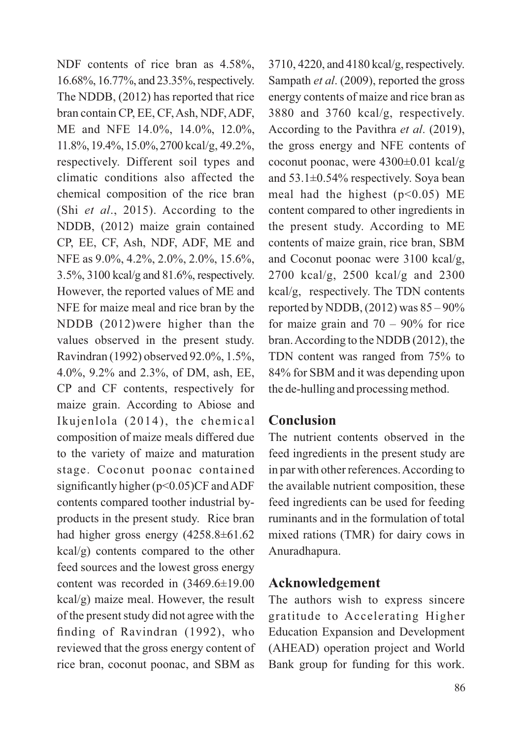NDF contents of rice bran as 4.58%, 16.68%, 16.77%, and 23.35%, respectively. The NDDB, (2012) has reported that rice bran contain CP, EE, CF, Ash, NDF, ADF, ME and NFE 14.0%, 14.0%, 12.0%, 11.8%, 19.4%, 15.0%, 2700 kcal/g, 49.2%, respectively. Different soil types and climatic conditions also affected the chemical composition of the rice bran (Shi et al., 2015). According to the NDDB, (2012) maize grain contained CP, EE, CF, Ash, NDF, ADF, ME and NFE as 9.0%, 4.2%, 2.0%, 2.0%, 15.6%, 3.5%, 3100 kcal/g and 81.6%, respectively. However, the reported values of ME and NFE for maize meal and rice bran by the NDDB (2012)were higher than the values observed in the present study. Ravindran (1992) observed 92.0%, 1.5%, 4.0%, 9.2% and 2.3%, of DM, ash, EE, CP and CF contents, respectively for maize grain. According to Abiose and Ikujenlola (2014), the chemical composition of maize meals differed due to the variety of maize and maturation stage. Coconut poonac contained significantly higher ( $p$ <0.05)CF and ADF contents compared toother industrial byproducts in the present study. Rice bran had higher gross energy  $(4258.8\pm61.62)$ kcal/g) contents compared to the other feed sources and the lowest gross energy content was recorded in (3469.6±19.00 kcal/g) maize meal. However, the result of the present study did not agree with the finding of Ravindran (1992), who reviewed that the gross energy content of rice bran, coconut poonac, and SBM as

3710, 4220, and 4180 kcal/g, respectively. Sampath *et al.* (2009), reported the gross energy contents of maize and rice bran as 3880 and 3760 kcal/g, respectively. According to the Pavithra et al. (2019), the gross energy and NFE contents of coconut poonac, were 4300±0.01 kcal/g and 53.1±0.54% respectively. Soya bean meal had the highest  $(p<0.05)$  ME content compared to other ingredients in the present study. According to ME contents of maize grain, rice bran, SBM and Coconut poonac were 3100 kcal/g, 2700 kcal/g, 2500 kcal/g and 2300 kcal/g, respectively. The TDN contents reported by NDDB,  $(2012)$  was  $85 - 90\%$ for maize grain and  $70 - 90\%$  for rice bran.According to the NDDB (2012), the TDN content was ranged from 75% to 84% for SBM and it was depending upon the de-hulling and processing method.

## **Conclusion**

The nutrient contents observed in the feed ingredients in the present study are in par with other references.According to the available nutrient composition, these feed ingredients can be used for feeding ruminants and in the formulation of total mixed rations (TMR) for dairy cows in Anuradhapura.

## **Acknowledgement**

The authors wish to express sincere gratitude to Accelerating Higher Education Expansion and Development (AHEAD) operation project and World Bank group for funding for this work.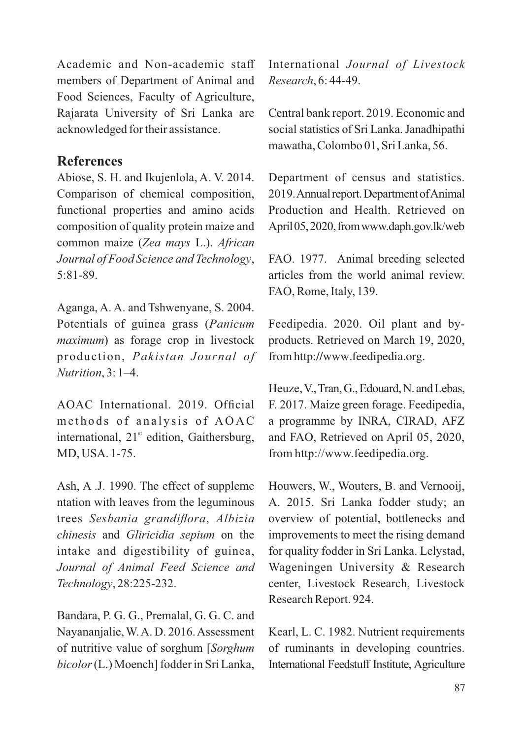Academic and Non-academic staff members of Department of Animal and Food Sciences, Faculty of Agriculture, Rajarata University of Sri Lanka are acknowledged for their assistance.

### **References**

Abiose, S. H. and Ikujenlola, A. V. 2014. Comparison of chemical composition, functional properties and amino acids composition of quality protein maize and common maize (Zea mays L.). African *Journal of Food Science and Technology*, 5:81-89.

Aganga, A. A. and Tshwenyane, S. 2004. Potentials of guinea grass (*Panicum maximum*) as forage crop in livestock production, *Pakistan Journal of Nutrition*, 3: 1–4.

AOAC International. 2019. Official methods of analysis of AOAC international,  $21<sup>st</sup>$  edition, Gaithersburg, MD, USA. 1-75.

Ash, A .J. 1990. The effect of suppleme ntation with leaves from the leguminous trees , *Sesbania grandiflora Albizia chinesis* and *Gliricidia sepium* on the intake and digestibility of guinea, *Journal of Animal Feed Science and Technology*, 28:225-232.

Bandara, P. G. G., Premalal, G. G. C. and Nayananjalie, W.A. D. 2016.Assessment of nutritive value of sorghum [*Sorghum bicolor*(L.) Moench] fodder in Sri Lanka, International *Journal of Livestock Research*, 6: 44-49.

Central bank report. 2019. Economic and social statistics of Sri Lanka. Janadhipathi mawatha, Colombo 01, Sri Lanka, 56.

Department of census and statistics. 2019. Annual report. Department of Animal Production and Health. Retrieved on April 05, 2020, from www.daph.gov.lk/web

FAO. 1977. Animal breeding selected articles from the world animal review. FAO, Rome, Italy, 139.

Feedipedia. 2020. Oil plant and byproducts. Retrieved on March 19, 2020, fromhttp://www.feedipedia.org.

Heuze, V., Tran, G., Edouard, N. and Lebas, F. 2017. Maize green forage. Feedipedia, a programme by INRA, CIRAD, AFZ and FAO, Retrieved on April 05, 2020, from http://www.feedipedia.org.

Houwers, W., Wouters, B. and Vernooij, A. 2015. Sri Lanka fodder study; an overview of potential, bottlenecks and improvements to meet the rising demand for quality fodder in Sri Lanka. Lelystad, Wageningen University & Research center, Livestock Research, Livestock Research Report. 924.

Kearl, L. C. 1982. Nutrient requirements of ruminants in developing countries. International Feedstuff Institute, Agriculture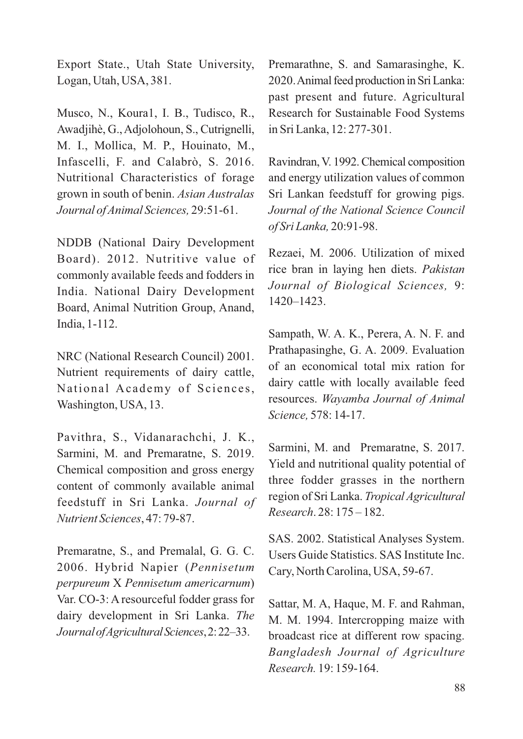Export State., Utah State University, Logan, Utah, USA, 381.

Musco, N., Koura1, I. B., Tudisco, R., Awadjihè, G.,Adjolohoun, S., Cutrignelli, M. I., Mollica, M. P., Houinato, M., Infascelli, F. and Calabrò, S. 2016. Nutritional Characteristics of forage grown in south of benin. *Asian Australas Journal of Animal Sciences,* 29:51-61.

NDDB (National Dairy Development Board). 2012. Nutritive value of commonly available feeds and fodders in India. National Dairy Development Board, Animal Nutrition Group, Anand, India, 1-112.

NRC (National Research Council) 2001. Nutrient requirements of dairy cattle, National Academy of Sciences, Washington, USA, 13.

Pavithra, S., Vidanarachchi, J. K., Sarmini, M. and Premaratne, S. 2019. Chemical composition and gross energy content of commonly available animal feedstuff in Sri Lanka. Journal of *Nutrient Sciences*, 47: 79-87.

Premaratne, S., and Premalal, G. G. C. 2006. Hybrid Napier (*Pennisetum perpureum X Pennisetum americarnum*) Var. CO-3: A resourceful fodder grass for dairy development in Sri Lanka. *The JournalofAgriculturalSciences*,2:22–33.

Premarathne, S. and Samarasinghe, K. 2020.Animal feed production in Sri Lanka: past present and future. Agricultural Research for Sustainable Food Systems in Sri Lanka, 12: 277-301.

Ravindran, V. 1992. Chemical composition and energy utilization values of common Sri Lankan feedstuff for growing pigs. *Journal of the National Science Council of Sri Lanka,* 20:91-98.

Rezaei, M. 2006. Utilization of mixed rice bran in laying hen diets. *Pakistan Journal of Biological Sciences,* 9: 1420–1423.

Sampath, W. A. K., Perera, A. N. F. and Prathapasinghe, G. A. 2009. Evaluation of an economical total mix ration for dairy cattle with locally available feed resources. *Wayamba Journal of Animal Science,* 578: 14-17.

Sarmini, M. and Premaratne, S. 2017. Yield and nutritional quality potential of three fodder grasses in the northern region of Sri Lanka. *Tropical Agricultural Research*. 28: 175 – 182.

SAS. 2002. Statistical Analyses System. Users Guide Statistics. SAS Institute Inc. Cary, North Carolina, USA, 59-67.

Sattar, M. A, Haque, M. F. and Rahman, M. M. 1994. Intercropping maize with broadcast rice at different row spacing. *Bangladesh Journal of Agriculture Research.* 19: 159-164.